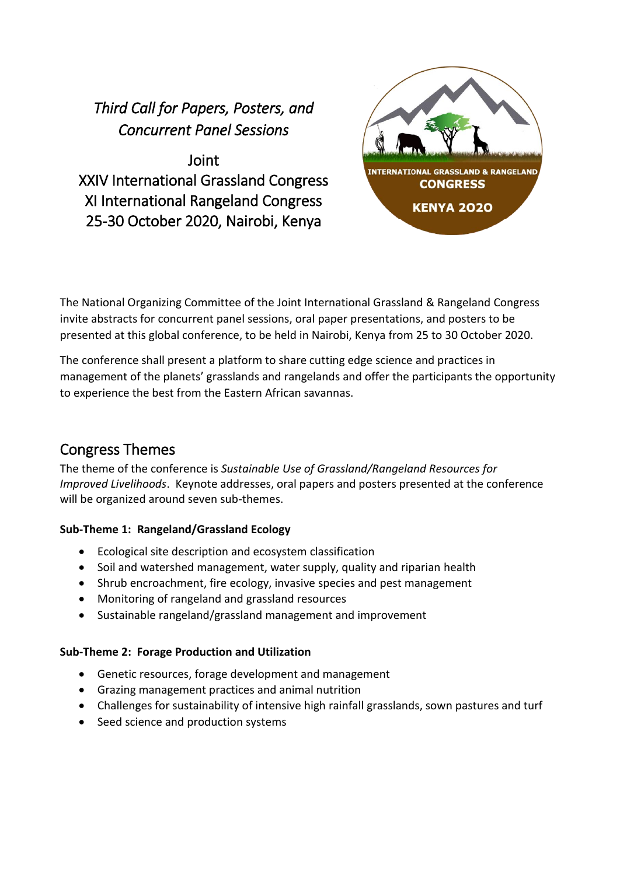# *Third Call for Papers, Posters, and Concurrent Panel Sessions*

Joint XXIV International Grassland Congress XI International Rangeland Congress 25-30 October 2020, Nairobi, Kenya



The National Organizing Committee of the Joint International Grassland & Rangeland Congress invite abstracts for concurrent panel sessions, oral paper presentations, and posters to be presented at this global conference, to be held in Nairobi, Kenya from 25 to 30 October 2020.

The conference shall present a platform to share cutting edge science and practices in management of the planets' grasslands and rangelands and offer the participants the opportunity to experience the best from the Eastern African savannas.

# Congress Themes

The theme of the conference is *Sustainable Use of Grassland/Rangeland Resources for Improved Livelihoods*. Keynote addresses, oral papers and posters presented at the conference will be organized around seven sub-themes.

### **Sub-Theme 1: Rangeland/Grassland Ecology**

- Ecological site description and ecosystem classification
- Soil and watershed management, water supply, quality and riparian health
- Shrub encroachment, fire ecology, invasive species and pest management
- Monitoring of rangeland and grassland resources
- Sustainable rangeland/grassland management and improvement

### **Sub-Theme 2: Forage Production and Utilization**

- Genetic resources, forage development and management
- Grazing management practices and animal nutrition
- Challenges for sustainability of intensive high rainfall grasslands, sown pastures and turf
- Seed science and production systems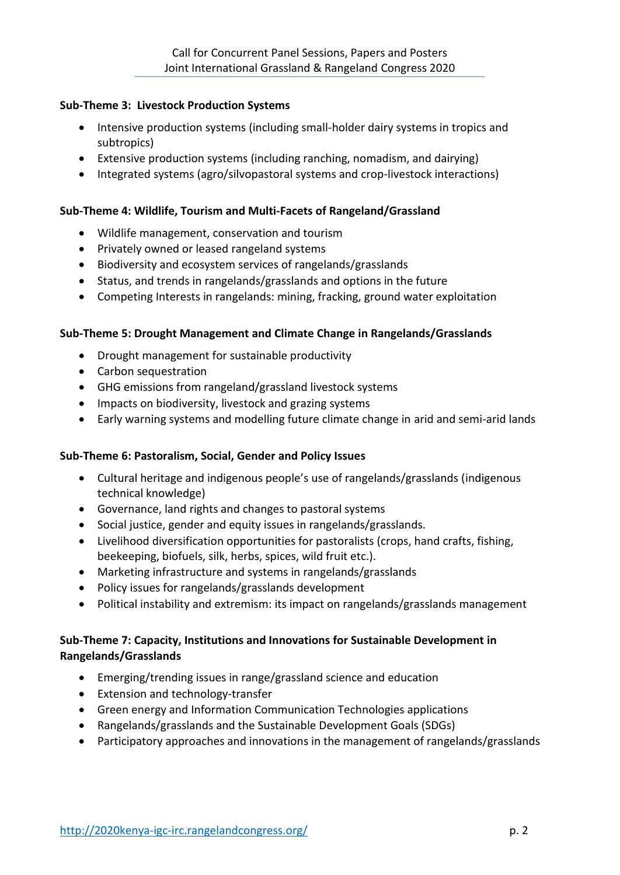### **Sub-Theme 3: Livestock Production Systems**

- Intensive production systems (including small-holder dairy systems in tropics and subtropics)
- Extensive production systems (including ranching, nomadism, and dairying)
- Integrated systems (agro/silvopastoral systems and crop-livestock interactions)

#### **Sub-Theme 4: Wildlife, Tourism and Multi-Facets of Rangeland/Grassland**

- Wildlife management, conservation and tourism
- Privately owned or leased rangeland systems
- Biodiversity and ecosystem services of rangelands/grasslands
- Status, and trends in rangelands/grasslands and options in the future
- Competing Interests in rangelands: mining, fracking, ground water exploitation

#### **Sub-Theme 5: Drought Management and Climate Change in Rangelands/Grasslands**

- Drought management for sustainable productivity
- Carbon sequestration
- GHG emissions from rangeland/grassland livestock systems
- Impacts on biodiversity, livestock and grazing systems
- Early warning systems and modelling future climate change in arid and semi-arid lands

#### **Sub-Theme 6: Pastoralism, Social, Gender and Policy Issues**

- Cultural heritage and indigenous people's use of rangelands/grasslands (indigenous technical knowledge)
- Governance, land rights and changes to pastoral systems
- Social justice, gender and equity issues in rangelands/grasslands.
- Livelihood diversification opportunities for pastoralists (crops, hand crafts, fishing, beekeeping, biofuels, silk, herbs, spices, wild fruit etc.).
- Marketing infrastructure and systems in rangelands/grasslands
- Policy issues for rangelands/grasslands development
- Political instability and extremism: its impact on rangelands/grasslands management

### **Sub-Theme 7: Capacity, Institutions and Innovations for Sustainable Development in Rangelands/Grasslands**

- Emerging/trending issues in range/grassland science and education
- Extension and technology-transfer
- Green energy and Information Communication Technologies applications
- Rangelands/grasslands and the Sustainable Development Goals (SDGs)
- Participatory approaches and innovations in the management of rangelands/grasslands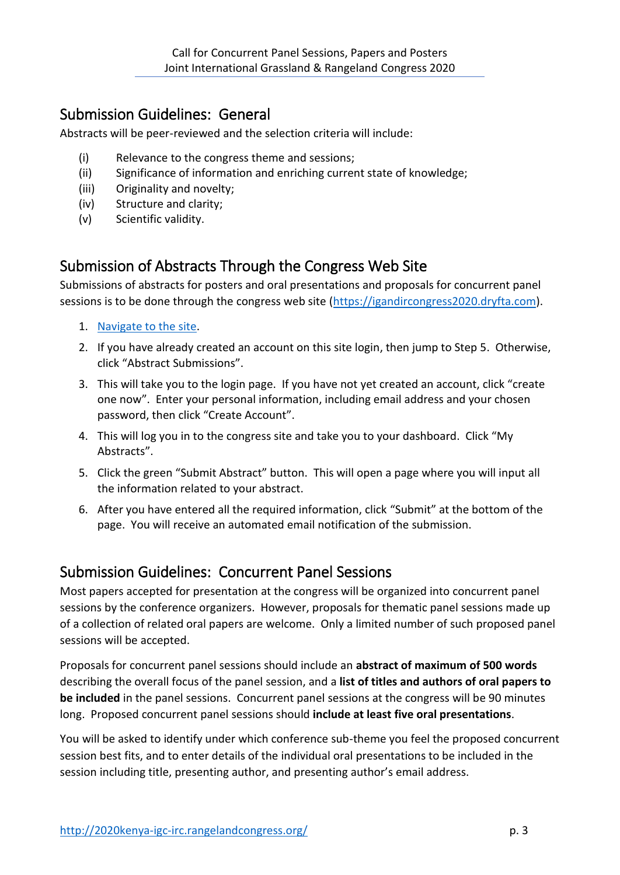### Submission Guidelines: General

Abstracts will be peer-reviewed and the selection criteria will include:

- (i) Relevance to the congress theme and sessions;
- (ii) Significance of information and enriching current state of knowledge;
- (iii) Originality and novelty;
- (iv) Structure and clarity;
- (v) Scientific validity.

### Submission of Abstracts Through the Congress Web Site

Submissions of abstracts for posters and oral presentations and proposals for concurrent panel sessions is to be done through the congress web site [\(https://igandircongress2020.dryfta.com\)](https://igandircongress2020.dryfta.com/).

- 1. [Navigate to the site.](https://igandircongress2020.dryfta.com/)
- 2. If you have already created an account on this site login, then jump to Step 5. Otherwise, click "Abstract Submissions".
- 3. This will take you to the login page. If you have not yet created an account, click "create one now". Enter your personal information, including email address and your chosen password, then click "Create Account".
- 4. This will log you in to the congress site and take you to your dashboard. Click "My Abstracts".
- 5. Click the green "Submit Abstract" button. This will open a page where you will input all the information related to your abstract.
- 6. After you have entered all the required information, click "Submit" at the bottom of the page. You will receive an automated email notification of the submission.

### Submission Guidelines: Concurrent Panel Sessions

Most papers accepted for presentation at the congress will be organized into concurrent panel sessions by the conference organizers. However, proposals for thematic panel sessions made up of a collection of related oral papers are welcome. Only a limited number of such proposed panel sessions will be accepted.

Proposals for concurrent panel sessions should include an **abstract of maximum of 500 words** describing the overall focus of the panel session, and a **list of titles and authors of oral papers to be included** in the panel sessions. Concurrent panel sessions at the congress will be 90 minutes long. Proposed concurrent panel sessions should **include at least five oral presentations**.

You will be asked to identify under which conference sub-theme you feel the proposed concurrent session best fits, and to enter details of the individual oral presentations to be included in the session including title, presenting author, and presenting author's email address.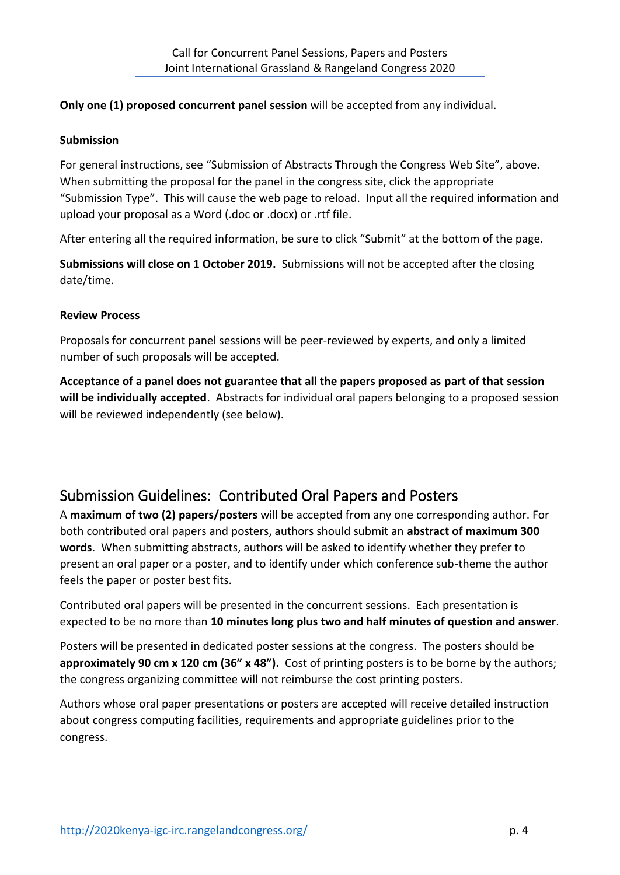### **Only one (1) proposed concurrent panel session** will be accepted from any individual.

### **Submission**

For general instructions, see "Submission of Abstracts Through the Congress Web Site", above. When submitting the proposal for the panel in the congress site, click the appropriate "Submission Type". This will cause the web page to reload. Input all the required information and upload your proposal as a Word (.doc or .docx) or .rtf file.

After entering all the required information, be sure to click "Submit" at the bottom of the page.

**Submissions will close on 1 October 2019.** Submissions will not be accepted after the closing date/time.

### **Review Process**

Proposals for concurrent panel sessions will be peer-reviewed by experts, and only a limited number of such proposals will be accepted.

**Acceptance of a panel does not guarantee that all the papers proposed as part of that session will be individually accepted**. Abstracts for individual oral papers belonging to a proposed session will be reviewed independently (see below).

# Submission Guidelines: Contributed Oral Papers and Posters

A **maximum of two (2) papers/posters** will be accepted from any one corresponding author. For both contributed oral papers and posters, authors should submit an **abstract of maximum 300 words**. When submitting abstracts, authors will be asked to identify whether they prefer to present an oral paper or a poster, and to identify under which conference sub-theme the author feels the paper or poster best fits.

Contributed oral papers will be presented in the concurrent sessions. Each presentation is expected to be no more than **10 minutes long plus two and half minutes of question and answer**.

Posters will be presented in dedicated poster sessions at the congress. The posters should be **approximately 90 cm x 120 cm (36" x 48").** Cost of printing posters is to be borne by the authors; the congress organizing committee will not reimburse the cost printing posters.

Authors whose oral paper presentations or posters are accepted will receive detailed instruction about congress computing facilities, requirements and appropriate guidelines prior to the congress.